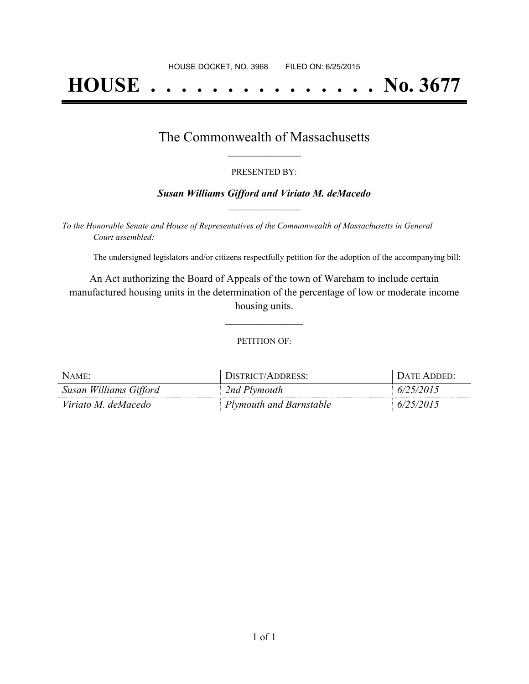# **HOUSE . . . . . . . . . . . . . . . No. 3677**

### The Commonwealth of Massachusetts **\_\_\_\_\_\_\_\_\_\_\_\_\_\_\_\_\_**

#### PRESENTED BY:

#### *Susan Williams Gifford and Viriato M. deMacedo* **\_\_\_\_\_\_\_\_\_\_\_\_\_\_\_\_\_**

*To the Honorable Senate and House of Representatives of the Commonwealth of Massachusetts in General Court assembled:*

The undersigned legislators and/or citizens respectfully petition for the adoption of the accompanying bill:

An Act authorizing the Board of Appeals of the town of Wareham to include certain manufactured housing units in the determination of the percentage of low or moderate income housing units.

PETITION OF:

**\_\_\_\_\_\_\_\_\_\_\_\_\_\_\_**

| $N$ AME:               | DISTRICT/ADDRESS:       | <b>DATE ADDED:</b> |
|------------------------|-------------------------|--------------------|
| Susan Williams Gifford | 2nd Plymouth            | 6/25/2015          |
| Viriato M. deMacedo    | Plymouth and Barnstable | 6/25/2015          |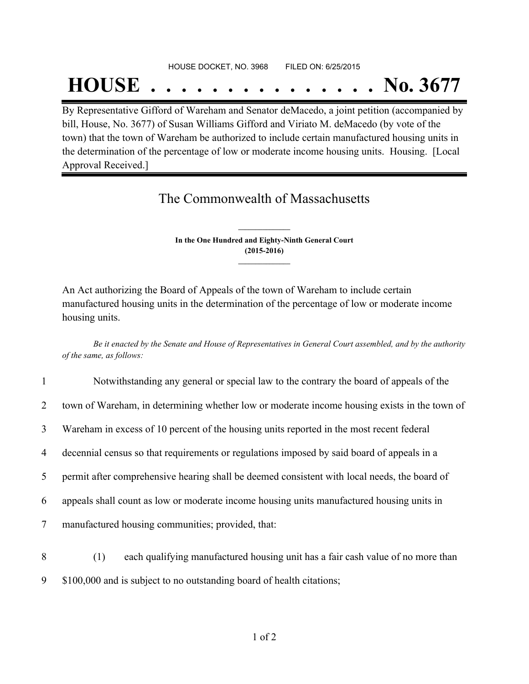#### HOUSE DOCKET, NO. 3968 FILED ON: 6/25/2015

## **HOUSE . . . . . . . . . . . . . . . No. 3677**

By Representative Gifford of Wareham and Senator deMacedo, a joint petition (accompanied by bill, House, No. 3677) of Susan Williams Gifford and Viriato M. deMacedo (by vote of the town) that the town of Wareham be authorized to include certain manufactured housing units in the determination of the percentage of low or moderate income housing units. Housing. [Local Approval Received.]

## The Commonwealth of Massachusetts

**In the One Hundred and Eighty-Ninth General Court (2015-2016) \_\_\_\_\_\_\_\_\_\_\_\_\_\_\_**

**\_\_\_\_\_\_\_\_\_\_\_\_\_\_\_**

An Act authorizing the Board of Appeals of the town of Wareham to include certain manufactured housing units in the determination of the percentage of low or moderate income housing units.

Be it enacted by the Senate and House of Representatives in General Court assembled, and by the authority *of the same, as follows:*

| $\mathbf{1}$   | Notwithstanding any general or special law to the contrary the board of appeals of the       |
|----------------|----------------------------------------------------------------------------------------------|
| $\overline{2}$ | town of Wareham, in determining whether low or moderate income housing exists in the town of |
| 3              | Wareham in excess of 10 percent of the housing units reported in the most recent federal     |
| $\overline{4}$ | decennial census so that requirements or regulations imposed by said board of appeals in a   |
| 5              | permit after comprehensive hearing shall be deemed consistent with local needs, the board of |
| 6              | appeals shall count as low or moderate income housing units manufactured housing units in    |
| $\tau$         | manufactured housing communities; provided, that:                                            |
| 8              | each qualifying manufactured housing unit has a fair cash value of no more than<br>(1)       |
| 9              | \$100,000 and is subject to no outstanding board of health citations;                        |